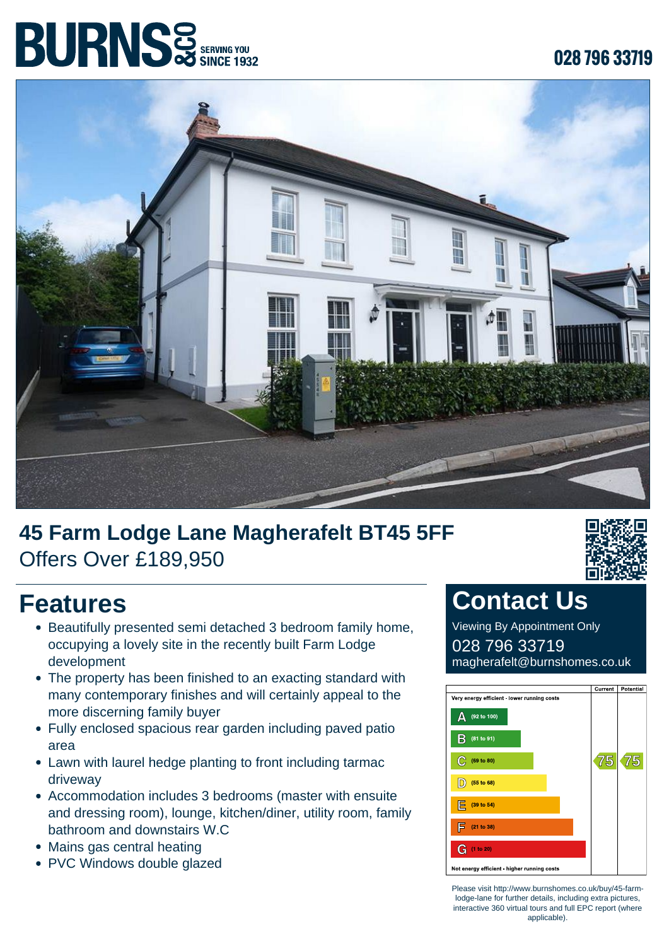# **BURNS** SERVING YOU

#### **028 796 33719**



### **45 Farm Lodge Lane Magherafelt BT45 5FF** Offers Over £189,950



- Beautifully presented semi detached 3 bedroom family home, occupying a lovely site in the recently built Farm Lodge development
- The property has been finished to an exacting standard with many contemporary finishes and will certainly appeal to the more discerning family buyer
- Fully enclosed spacious rear garden including paved patio area
- Lawn with laurel hedge planting to front including tarmac driveway
- Accommodation includes 3 bedrooms (master with ensuite and dressing room), lounge, kitchen/diner, utility room, family bathroom and downstairs W.C
- Mains gas central heating
- PVC Windows double glazed



#### **Contact Us**

Viewing By Appointment Only 028 796 33719 magherafelt@burnshomes.co.uk



Please visit http://www.burnshomes.co.uk/buy/45-farmlodge-lane for further details, including extra pictures, interactive 360 virtual tours and full EPC report (where applicable).